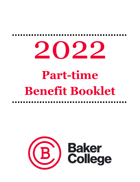## 2022 **Part-time Benefit Booklet**

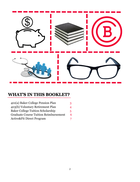

#### **WHAT'S IN THIS BOOKLET?**

| 401(a) Baker College Pension Plan            | 3  |
|----------------------------------------------|----|
| 403(b) Voluntary Retirement Plan             | 4  |
| <b>Baker College Tuition Scholarship</b>     | 5. |
| <b>Graduate Course Tuition Reimbursement</b> | 6  |
| <b>Active&amp;Fit Direct Program</b>         | 7  |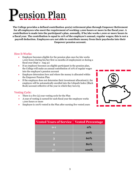## ension Plan

**The College provides a defined contribution 401(a) retirement plan through Empower Retirement for all employees who meet the requirement of working 1,000 hours or more in the fiscal year. A contribution is made into the participant's plan, annually, if he/she works 1,000 or more hours in a fiscal year. The contribution is equal to 10% of the employee's annual, regular wages; this is** *not* **a payroll deduction. Employees are not able to contribute money from their paychecks into their Empower pension account.** 

#### How It Works:

- Employee becomes eligible for the pension plan once he/she works 1,000 hours during his/her first 12 months of employment or during a fiscal year (Sept 1– Aug 31)
- If an employee becomes an eligible participant in the pension plan, the College will make an annual contribution of 10% of regular wages into the employee's pension account
- Employee determines how and where the money is allocated within the Empower Pension Plan
- If the employee does not determine their investment allocation(s), the employee will be automatically enrolled into the Lifepath Index (Black Rock) account reflective of the year in which they turn 65

#### Vesting Cycle:

- There is a five (5) year vesting cycle for the Plan
- A year of vesting is earned for each fiscal year the employee works 1,000 hours or more
- Employee is 100% vested in the Plan after earning five vested years

| $\mathfrak{F})$ |
|-----------------|
|                 |
|                 |

| <b>Vested Years of Service</b> | <b>Vested Percentage</b> |
|--------------------------------|--------------------------|
| $0-1$                          | $\mathbf{0\%}$           |
| $\overline{2}$                 | 20%                      |
| 3                              | 60%                      |
| 4                              | 80%                      |
|                                | 100%                     |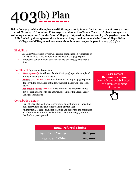## $O(3(b)$  Plan

**Baker College provides all employees with the opportunity to save for their retirement through three (3) different 403(b) vendors: TIAA, Aspire, and American Funds. The 403(b) plan is completely voluntary and separate from the Baker College 401(a) pension plan. An employee's 403(b) account is fully funded by the employee; there is no matching contribution made by Baker College. Baker College would like you to know more about how you can participate in the 403(b) plan.** 

#### Eligibility:

- All Baker College employees who receive compensation reportable on an IRS Form W-2 are eligible to participate in the 403(b) plan
- Employees can only make contributions to one 403(b) vendor at a time

#### Enrollment (3 plans to choose from):

- **TIAA** (pre-tax)- Enrollment for the TIAA 403(b) plan is completed online through the TIAA website.
- **Aspire** (pre-tax or ROTH)- Enrollment in the Aspire 403(b) plan is done with the assistance of Snider Financial, Baker College's local agent.
- **American Funds** (pre-tax)- Enrollment in the American Funds 403(b) plan is done with the assistance of Snider Financial, Baker College's local agent.

#### Contribution Limits:

- Per IRS regulations, there are maximum annual limits an individual may defer under this and other plans in any tax year
- An individual is responsible for tracking and reporting the amount of all of their contributions to all qualified plans and 403(b) annuities that he/she participates in

| Please contact            |  |  |
|---------------------------|--|--|
| <b>Deanna Brandon,</b>    |  |  |
| deanna.brandon@baker.edu, |  |  |
| to obtain enrollment      |  |  |
| information.              |  |  |
|                           |  |  |

| 2022 Deferral Limits      |          |  |
|---------------------------|----------|--|
| <b>Age 49 and Younger</b> | \$20,500 |  |
| Age 50 and Older          | \$27,000 |  |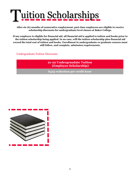

**After six (6) months of consecutive employment, part-time employees are eligible to receive scholarship discounts for undergraduate level classes at Baker College.** 

**If any employee is eligible for financial aid, all financial aid is applied to tuition and books prior to the tuition scholarship being applied. In no case, will the tuition scholarship plus financial aid exceed the total cost of tuition and books. Enrollment in undergraduate or graduate courses must still follow, and complete, admission requirements.** 

Undergraduate Tuition Discounts:

**21-22 Undergraudate Tuition (Employee Scholarship)** 

**\$425 reduction per credit hour**

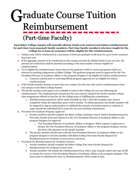#### raduate Course Tuition Reimbursement (Part-time Faculty) G

**Each Baker College campus will annually allocate funds to be used toward tuition reimbursement for part-time (non-seasonal) faculty members. Part-time faculty members who have taught for the College for at least six semesters will be eligible for this reimbursement.**

- **1.** Tuition costs will be reimbursed at a maximum of \$160 per graduate credit hour for up to twelve semester hours per year.
- **2.** If the aggregate amount to be reimbursed on the campus exceeds the allotted fund in any one year, the amount per credit hour shall be prorated according to the total number of hours eligible for reimbursement.
- **3.** To be eligible for reimbursement, hours must be for graduate credit in courses/programs which are relevant to teaching assignments at Baker College. The graduate program must be approved by the Vice President/Director of Academic Affairs or the program designee to be eligible for tuition reimbursement.
	- a. Course(s) started prior to receiving official program approval are not eligible for tuition reimbursement.
- **4.** If the faculty member teaches at more than one campus, he/she may only receive reimbursement from one campus in the Baker College System.
- **5.** The faculty member must agree to be available to teach at the College for one year following the reimbursement. The reimbursement amount for the year must be repaid if the faculty member refuses class assignments offered to him/her by the College prior to fulfilling this commitment.
	- a. Reimbursement payments will be made annually by July 1 and will recognize only courses completed within the immediate prior twelve months. To obtain payment, the faculty member will be required to sign an authorization to withhold the amount of reimbursement or contract to repay should the individual fail to meet the one year teaching commitment.
- **6.** Procedure for Graduate Program Approval:
	- a. Faculty members should complete the Baker College Graduate Course Tuition Reimbursement for Part-time Faculty form and submit it to the Vice President/Director of Academic Affairs or the program designee for approval.
		- i. Vice President/Director of Academic Affairs or designee: When request is approved or denied, the Vice President/Director of Academic Affairs or the program designee returns the form with signature to the faculty member.
	- b. The faculty member should meet with the Vice President/Director of Academic Affairs or the program designee to become familiar with Baker College Part-time Faculty Request for Reimbursement for Graduate Course process and form.
- **7.** Procedure for Reimbursement for Graduate Courses:
	- a. Faculty members should complete the Baker College Part-time Faculty Request for Reimbursement for Graduate Course form
	- b. Faculty members will submit the reimbursement form with a copy of grade report and copy of bill or receipt for course to Vice President/Director of Academic Affairs or the program designee. This form must be submitted by June 15. Reimbursements will be made in July.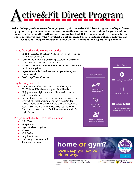### A ctive&Fit Direct Program

**Baker College provides access for employees to join the Active&Fit Direct Program, a self-pay fitness program that gives members access to 11,000+ fitness centers nation-wide and 2,500+ workout videos for \$25 a month – with no long-term contract. All Baker College employees are eligible to enroll themselves under the Active&Fit Direct program. Spouses of Baker College employees can also take advantage of this benefit under their own account for a separate \$25 a month.**

#### What the Active&Fit Program Provides:

- **2,500+ Digital Workout Videos** so you can work out at home or on-the-go
- **Unlimited Lifestyle Coaching** sessions in areas such as fitness, nutrition, stress, and sleep
- **11,000+ Fitness Centers and Studios** with the ability to change anytime
- **250+ Wearable Trackers and Apps** to keep your goals on track
- **No Long-Term Contract**

#### Try before you enroll:

- Join a variety of workout classes available anytime on YouTube and Facebook, designed for all levels!
- Enjoy 200 free digital workout videos available to all eligible members.
- Many fitness centers offer a free guest pass through the Active&Fit Direct program. Use the Fitness Center Search tool to select a location and click the 'Request a Guest Pass' button. Bring the letter to your selected location to make sure you find the fitness center that's right for you.

#### Program includes fitness centers such as:

- LA | Fitness
- Snap Fitness
- 24/7 Workout Anytime
- **Curves**
- Gold's Gym
- Anytime Fitness
- and many more local and franchise fitness centers